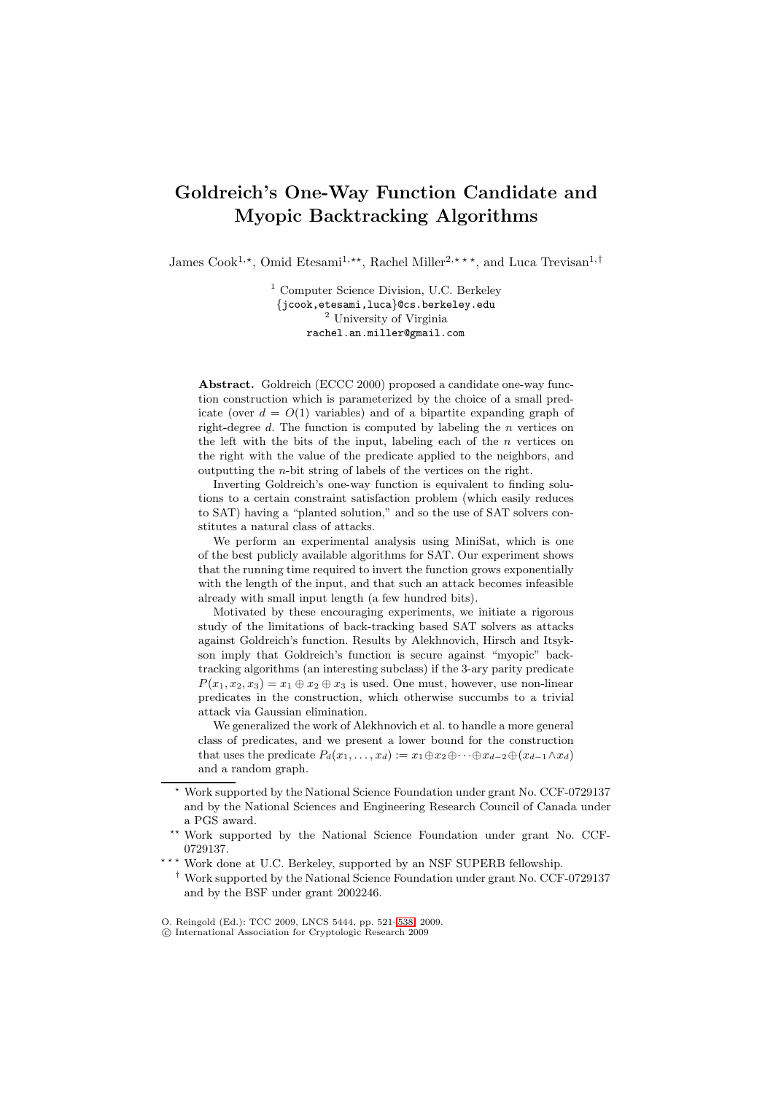# **Goldreich's One-Way Function Candidate and Myopic Backtracking Algorithms**

James Cook<sup>1,\*</sup>, Omid Etesami<sup>1,\*\*</sup>, Rachel Miller<sup>2,\*\*\*</sup>, and Luca Trevisan<sup>1,†</sup>

<sup>1</sup> Computer Science Division, U.C. Berkeley {jcook,etesami,luca}@cs.berkeley.edu  $^{\rm 2}$  University of Virginia rachel.an.miller@gmail.com

**Abstract.** Goldreich (ECCC 2000) proposed a candidate one-way function construction which is parameterized by the choice of a small predicate (over  $d = O(1)$  variables) and of a bipartite expanding graph of right-degree  $d$ . The function is computed by labeling the  $n$  vertices on the left with the bits of the input, labeling each of the  $n$  vertices on the right with the value of the predicate applied to the neighbors, and outputting the n-bit string of labels of the vertices on the right.

Inverting Goldreich's one-way function is equivalent to finding solutions to a certain constraint satisfaction problem (which easily reduces to SAT) having a "planted solution," and so the use of SAT solvers constitutes a natural class of attacks.

We perform an experimental analysis using MiniSat, which is one of the best publicly available algorithms for SAT. Our experiment shows that the running time required to invert the function grows exponentially with the length of the input, and that such an attack becomes infeasible already with small input length (a few hundred bits).

Motivated by these encouraging experiments, we initiate a rigorous study of the limitations of back-tracking based SAT solvers as attacks against Goldreich's function. Results by Alekhnovich, Hirsch and Itsykson imply that Goldreich's function is secure against "myopic" backtracking algorithms (an interesting subclass) if the 3-ary parity predicate  $P(x_1, x_2, x_3) = x_1 \oplus x_2 \oplus x_3$  is used. One must, however, use non-linear predicates in the construction, which otherwise succumbs to a trivial attack via Gaussian elimination.

We generalized the work of Alekhnovich et al. to handle a more general class of predicates, and we present a lower bound for the construction that uses the predicate  $P_d(x_1,\ldots,x_d) := x_1 \oplus x_2 \oplus \cdots \oplus x_{d-2} \oplus (x_{d-1} \wedge x_d)$ and a random graph.

 $\star$  Work supported by the National Science Foundation under grant No. CCF-0729137 and by the National Sciences and Engineering Research Council of Canada under a PGS award.

<sup>-</sup> Work supported by the National Science Foundation under grant No. CCF-0729137.

<sup>\*\*</sup> Work done at U.C. Berkeley, supported by an NSF SUPERB fellowship.

*<sup>†</sup>* Work supported by the National Science Foundation under grant No. CCF-0729137 and by the BSF under grant 2002246.

O. Reingold (Ed.): TCC 2009, LNCS 5444, pp. 521–538, 2009.

<sup>-</sup>c International Association for Cryptologic Research 2009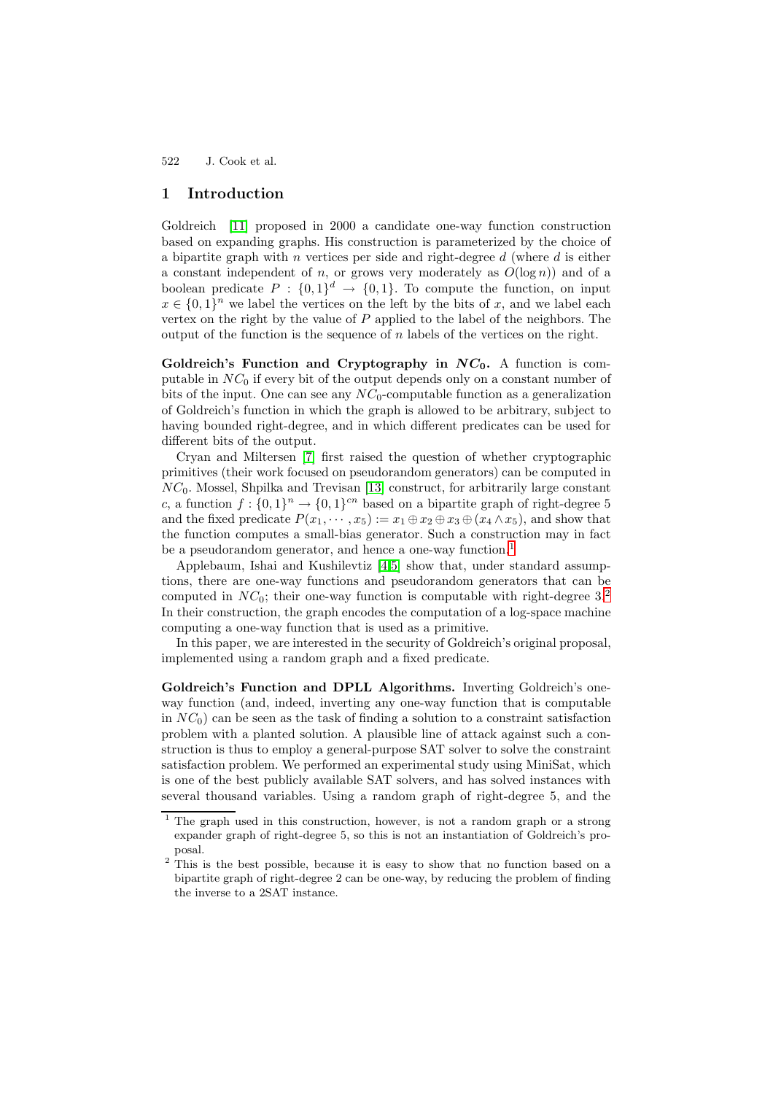# **1 Introduction**

Goldreich [11] proposed in 2000 a candidate one-way function construction based on expanding graphs. His construction is parameterized by the choice of a bipartite graph with  $n$  vertices per side and right-degree  $d$  (where  $d$  is either a constant independent of n, or grows very moderately as  $O(\log n)$  and of a boolean pre[dica](#page-16-0)te  $P : \{0,1\}^d \rightarrow \{0,1\}$ . To compute the function, on input  $x \in \{0,1\}^n$  we label the vertices on the left by the bits of x, and we label each vertex on the right by the value of  $P$  applied to the label of the neighbors. The output of the function is the sequence of  $n$  labels of the vertices on the right.

**Goldreich's Function and Cryptography in** *NC***0.** A function is computable in  $NC_0$  if every bit of the output depends only on a constant number of bits of the input. One can see any  $NC_0$ -computable function as a generalization of Goldreich's function in which the graph is allowed to be arbitrary, subject to having bounded right-degree, and in which different predicates can be used for different bits of the output.

Cryan and Miltersen [7] first raised the question of whether cryptographic primitives (their work focused on pseudorandom generators) can be computed in  $NC_0$ . Mossel, Shpilka and Trevisan [13] construct, for arbitrarily large constant c, a function  $f: \{0,1\}^n \to \{0,1\}^{cn}$  based on a bipartite graph of right-degree 5 and the fixed predicate  $P(x_1, \dots, x_5) := x_1 \oplus x_2 \oplus x_3 \oplus (x_4 \wedge x_5)$  $P(x_1, \dots, x_5) := x_1 \oplus x_2 \oplus x_3 \oplus (x_4 \wedge x_5)$  $P(x_1, \dots, x_5) := x_1 \oplus x_2 \oplus x_3 \oplus (x_4 \wedge x_5)$ , and show that the function computes a small-bias generator. Such a construction may in fact be a pseudorandom generator, and [henc](#page-16-2)e a one-way function.<sup>1</sup>

Applebaum, Ishai and Kushilevtiz [4,5] show that, under standard assumptions, there are one-way functions and pseudorandom generators that can be computed in  $NC_0$ ; their one-way function is computable with right-degree  $3.2$ In their construction, the graph encodes the computation of a [lo](#page-1-0)g-space machine computing a one-way function that is [us](#page-16-3)[ed](#page-16-4) as a primitive.

In this paper, we are interested in the security of Goldreich's original proposal, implemented using a random graph and a fixed predicate.

**Goldreich's Function and DPLL Algorithms.** Inverting Goldreich's oneway function (and, indeed, inverting any one-way function that is computable in  $NC_0$  can be seen as the task of finding a solution to a constraint satisfaction problem with a planted solution. A plausible line of attack against such a construction is thus to employ a general-purpose SAT solver to solve the constraint satisfaction problem. We performed an experimental study using MiniSat, which is one of the best publicly available SAT solvers, and has solved instances with several thousand variables. Using a random graph of right-degree 5, and the

<sup>&</sup>lt;sup>1</sup> The graph used in this construction, however, is not a random graph or a strong expander graph of right-degree 5, so this is not an instantiation of Goldreich's proposal.

<span id="page-1-0"></span><sup>&</sup>lt;sup>2</sup> This is the best possible, because it is easy to show that no function based on a bipartite graph of right-degree 2 can be one-way, by reducing the problem of finding the inverse to a 2SAT instance.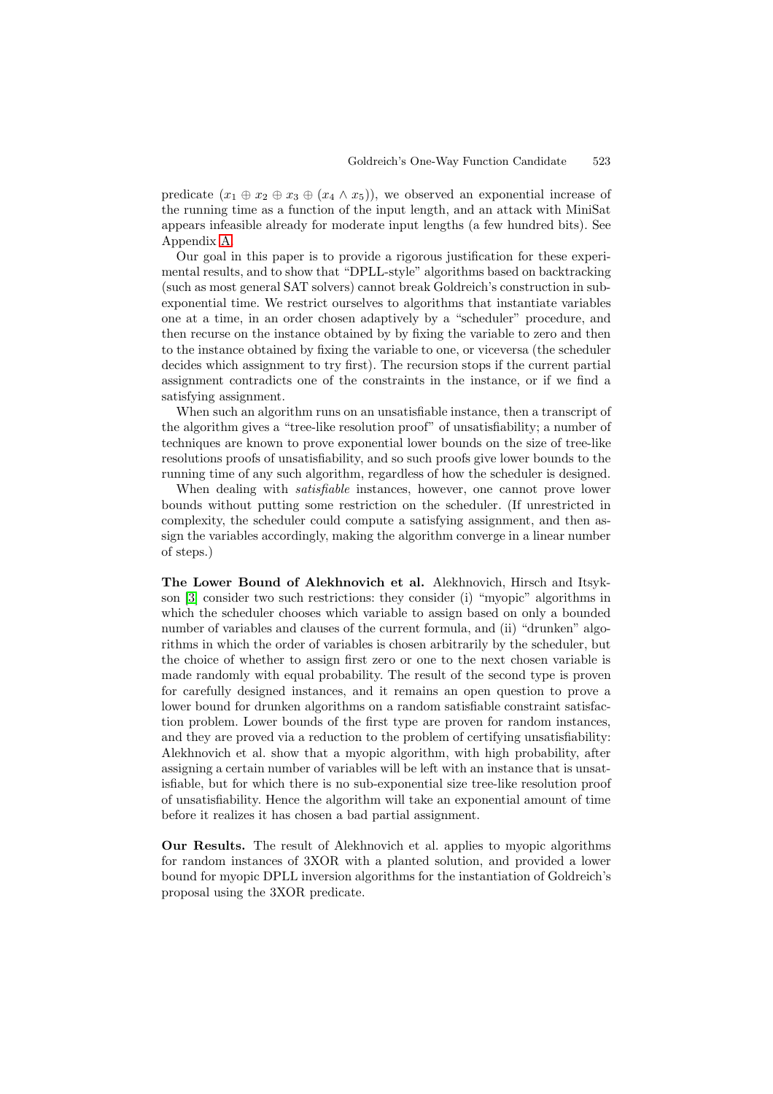predicate  $(x_1 \oplus x_2 \oplus x_3 \oplus (x_4 \wedge x_5))$ , we observed an exponential increase of the running time as a function of the input length, and an attack with MiniSat appears infeasible already for moderate input lengths (a few hundred bits). See Appendix A.

Our goal in this paper is to provide a rigorous justification for these experimental results, and to show that "DPLL-style" algorithms based on backtracking (such as most general SAT solvers) cannot break Goldreich's construction in subexponenti[al t](#page-16-5)ime. We restrict ourselves to algorithms that instantiate variables one at a time, in an order chosen adaptively by a "scheduler" procedure, and then recurse on the instance obtained by by fixing the variable to zero and then to the instance obtained by fixing the variable to one, or viceversa (the scheduler decides which assignment to try first). The recursion stops if the current partial assignment contradicts one of the constraints in the instance, or if we find a satisfying assignment.

When such an algorithm runs on an unsatisfiable instance, then a transcript of the algorithm gives a "tree-like resolution proof" of unsatisfiability; a number of techniques are known to prove exponential lower bounds on the size of tree-like resolutions proofs of unsatisfiability, and so such proofs give lower bounds to the running time of any such algorithm, regardless of how the scheduler is designed.

When dealing with *satisfiable* instances, however, one cannot prove lower bounds without putting some restriction on the scheduler. (If unrestricted in complexity, the scheduler could compute a satisfying assignment, and then assign the variables accordingly, making the algorithm converge in a linear number of steps.)

**The Lower Bound of Alekhnovich et al.** Alekhnovich, Hirsch and Itsykson [3] consider two such restrictions: they consider (i) "myopic" algorithms in which the scheduler chooses which variable to assign based on only a bounded number of variables and clauses of the current formula, and (ii) "drunken" algorithms in which the order of variables is chosen arbitrarily by the scheduler, but the [ch](#page-16-6)oice of whether to assign first zero or one to the next chosen variable is made randomly with equal probability. The result of the second type is proven for carefully designed instances, and it remains an open question to prove a lower bound for drunken algorithms on a random satisfiable constraint satisfaction problem. Lower bounds of the first type are proven for random instances, and they are proved via a reduction to the problem of certifying unsatisfiability: Alekhnovich et al. show that a myopic algorithm, with high probability, after assigning a certain number of variables will be left with an instance that is unsatisfiable, but for which there is no sub-exponential size tree-like resolution proof of unsatisfiability. Hence the algorithm will take an exponential amount of time before it realizes it has chosen a bad partial assignment.

**Our Results.** The result of Alekhnovich et al. applies to myopic algorithms for random instances of 3XOR with a planted solution, and provided a lower bound for myopic DPLL inversion algorithms for the instantiation of Goldreich's proposal using the 3XOR predicate.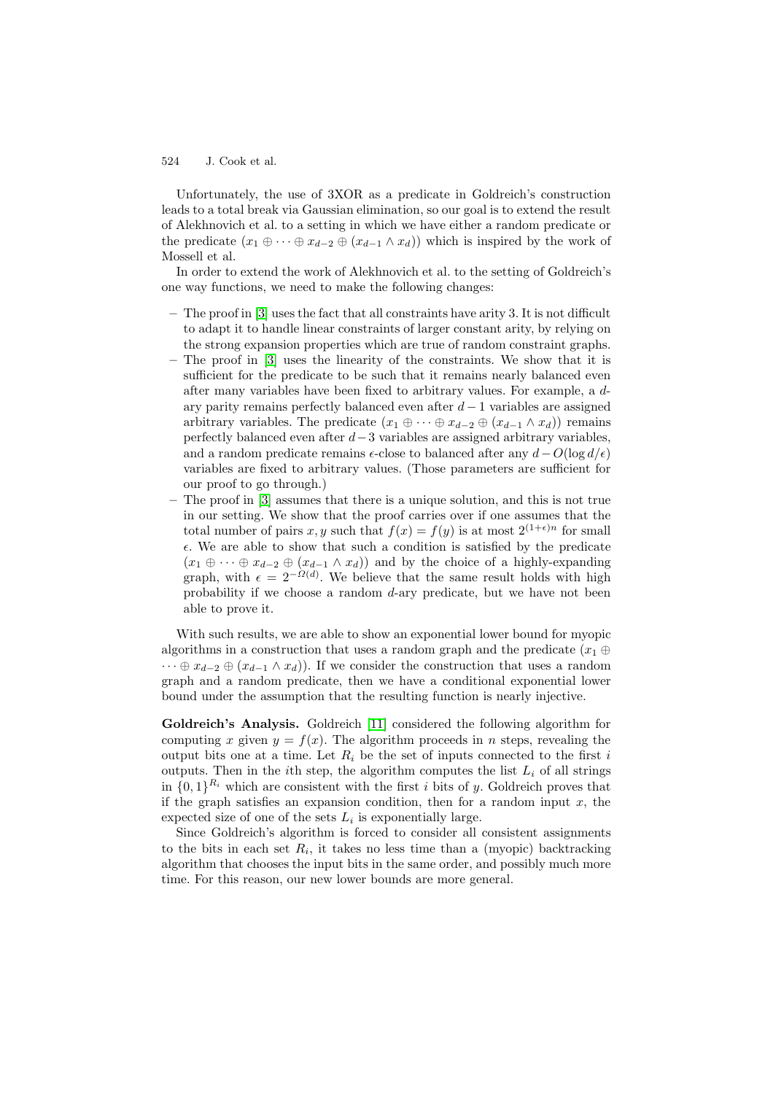Unfortunately, the use of 3XOR as a predicate in Goldreich's construction leads to a total break via Gaussian elimination, so our goal is to extend the result of Alekhnovich et al. to a setting in which we have either a random predicate or the predicate  $(x_1 \oplus \cdots \oplus x_{d-2} \oplus (x_{d-1} \wedge x_d))$  which is inspired by the work of Mossell et al.

In order to extend the work of Alekhnovich et al. to the setting of Goldreich's one way functions, we need to make the following changes:

- **–** The proof in [3] uses the fact that all constraints have arity 3. It is not difficult to adapt it to handle linear constraints of larger constant arity, by relying on the strong expansion properties which are true of random constraint graphs.
- **–** The proof in [3] uses the linearity of the constraints. We show that it is sufficient for [th](#page-16-6)e predicate to be such that it remains nearly balanced even after many variables have been fixed to arbitrary values. For example, a dary parity remains perfectly balanced even after  $d-1$  variables are assigned arbitrary vari[abl](#page-16-6)es. The predicate  $(x_1 \oplus \cdots \oplus x_{d-2} \oplus (x_{d-1} \wedge x_d))$  remains perfectly balanced even after  $d-3$  variables are assigned arbitrary variables, and a random predicate remains  $\epsilon$ -close to balanced after any  $d - O(\log d/\epsilon)$ variables are fixed to arbitrary values. (Those parameters are sufficient for our proof to go through.)
- **–** The proof in [3] assumes that there is a unique solution, and this is not true in our setting. We show that the proof carries over if one assumes that the total number of pairs x, y such that  $f(x) = f(y)$  is at most  $2^{(1+\epsilon)n}$  for small  $\epsilon$ . We are able to show that such a condition is satisfied by the predicate  $(x_1 \oplus \cdots \oplus x_{d-2} \oplus (x_{d-1} \wedge x_d))$  $(x_1 \oplus \cdots \oplus x_{d-2} \oplus (x_{d-1} \wedge x_d))$  $(x_1 \oplus \cdots \oplus x_{d-2} \oplus (x_{d-1} \wedge x_d))$  and by the choice of a highly-expanding graph, with  $\epsilon = 2^{-\Omega(d)}$ . We believe that the same result holds with high probability if we choose a random  $d$ -ary predicate, but we have not been able to prove it.

With such results, we are able to show an exponential lower bound for myopic algorithms in a construction that uses a random graph and the predicate  $(x_1 \oplus$  $\cdots \oplus x_{d-2} \oplus (x_{d-1} \wedge x_d)$ . If we consider the construction that uses a random graph and a random predicate, then we have a conditional exponential lower bound under the assumption that the resulting function is nearly injective.

**Goldreich's Analysis.** Goldreich [11] considered the following algorithm for computing x given  $y = f(x)$ . The algorithm proceeds in n steps, revealing the output bits one at a time. Let  $R_i$  be the set of inputs connected to the first i outputs. Then in the *i*th step, the algorithm computes the list  $L_i$  of all strings in  $\{0,1\}^{R_i}$  which are consistent wit[h th](#page-16-0)e first i bits of y. Goldreich proves that if the graph satisfies an expansion condition, then for a random input  $x$ , the expected size of one of the sets  $L_i$  is exponentially large.

Since Goldreich's algorithm is forced to consider all consistent assignments to the bits in each set  $R_i$ , it takes no less time than a (myopic) backtracking algorithm that chooses the input bits in the same order, and possibly much more time. For this reason, our new lower bounds are more general.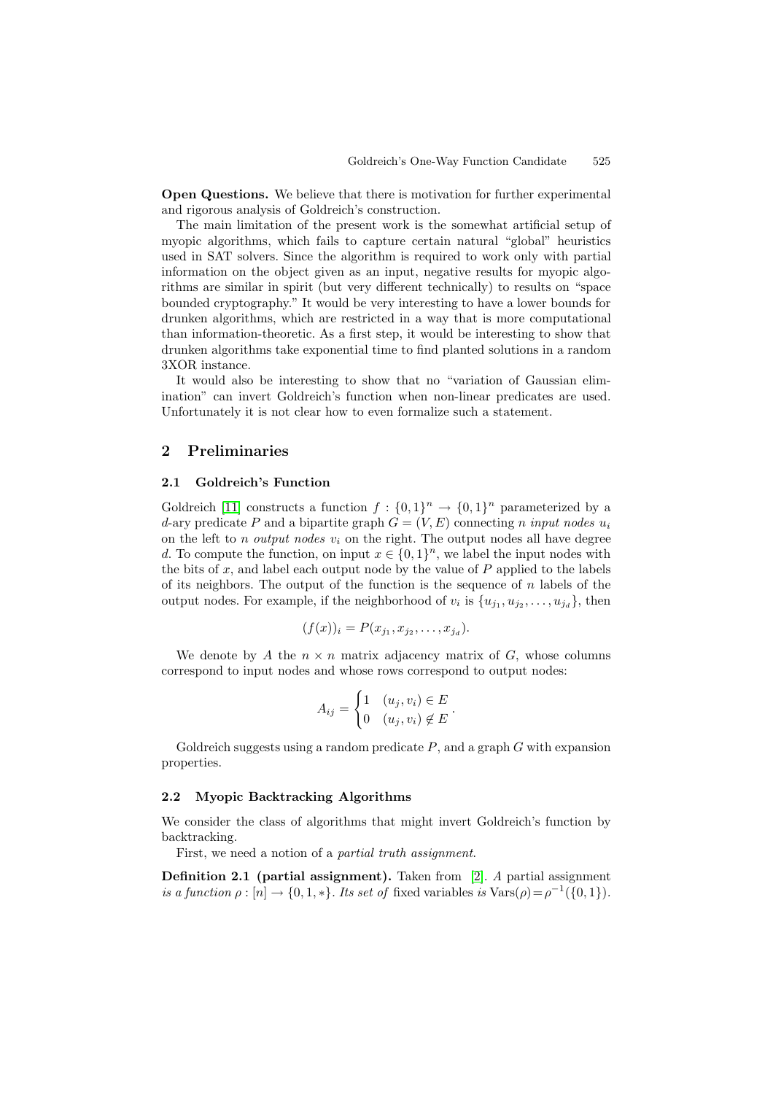**Open Questions.** We believe that there is motivation for further experimental and rigorous analysis of Goldreich's construction.

The main limitation of the present work is the somewhat artificial setup of myopic algorithms, which fails to capture certain natural "global" heuristics used in SAT solvers. Since the algorithm is required to work only with partial information on the object given as an input, negative results for myopic algorithms are similar in spirit (but very different technically) to results on "space bounded cryptography." It would be very interesting to have a lower bounds for drunken algorithms, which are restricted in a way that is more computational than information-theoretic. As a first step, it would be interesting to show that drunken algorithms take exponential time to find planted solutions in a random 3XOR instance.

It would also be interesting to show that no "variation of Gaussian elimination" can invert Goldreich's function when non-linear predicates are used. Unfortunately it is not clear how to even formalize such a statement.

## **2 Preliminaries**

#### **2.1 Goldreich's Function**

Goldreich [11] constructs a function  $f: \{0,1\}^n \to \{0,1\}^n$  parameterized by a d-ary predicate P and a bipartite graph  $G = (V, E)$  connecting n *input nodes*  $u_i$ on the left to *n output nodes*  $v_i$  on the right. The output nodes all have degree d. To compute the function, on input  $x \in \{0,1\}^n$ , we label the input nodes with the bits of x[, a](#page-16-0)nd label each output node by the value of  $P$  applied to the labels of its neighbors. The output of the function is the sequence of  $n$  labels of the output nodes. For example, if the neighborhood of  $v_i$  is  $\{u_{j_1}, u_{j_2}, \ldots, u_{j_d}\},$  then

$$
(f(x))_i = P(x_{j_1}, x_{j_2}, \dots, x_{j_d}).
$$

We denote by A the  $n \times n$  matrix adjacency matrix of G, whose columns correspond to input nodes and whose rows correspond to output nodes:

$$
A_{ij} = \begin{cases} 1 & (u_j, v_i) \in E \\ 0 & (u_j, v_i) \notin E \end{cases}.
$$

Goldreich suggests using a random predicate  $P$ , and a graph  $G$  with expansion properties.

#### **2.2 Myopic Backtracking Algorithms**

We consider the class of algorithms that might invert Goldreich's function by backtracking.

First, we need a notion of a *partial truth assignment*.

**Definition 2.1 (partial assignment).** Taken from [2]. *A* partial assignment *is a function*  $\rho : [n] \to \{0, 1, *\}$ *. Its set of fixed variables is*  $\text{Vars}(\rho) = \rho^{-1}(\{0, 1\})$ *.*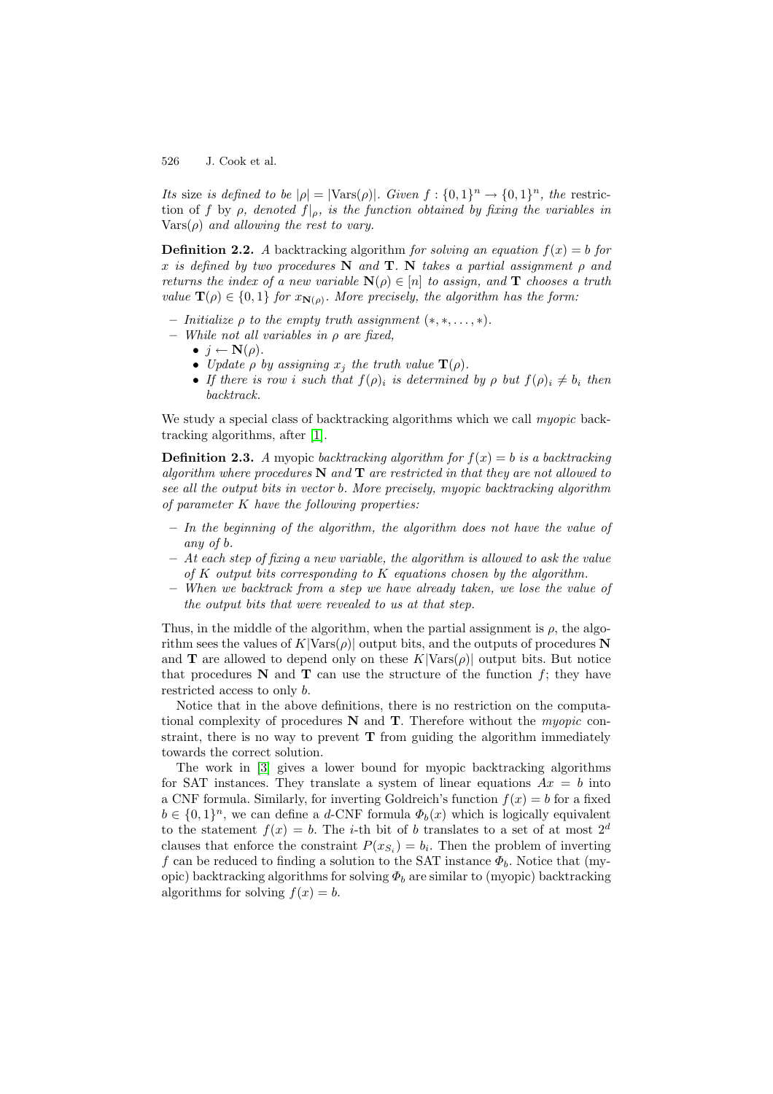*Its* size *is defined to be*  $|\rho| = |\text{Vars}(\rho)|$ *. Given*  $f : \{0, 1\}^n \to \{0, 1\}^n$ *, the* restriction of f by  $\rho$ , denoted  $f|_{\rho}$ , is the function obtained by fixing the variables in Vars(ρ) *and allowing the rest to vary.*

**Definition 2.2.** *A* backtracking algorithm *for solving an equation*  $f(x) = b$  *for* x *is defined by two procedures* **N** *and* **T***.* **N** *takes a partial assignment* ρ *and returns the index of a new variable*  $\mathbf{N}(\rho) \in [n]$  *to assign, and* **T** *chooses a truth value*  $\mathbf{T}(\rho) \in \{0,1\}$  *for*  $x_{\mathbf{N}(\rho)}$ *. More precisely, the algorithm has the form:* 

- **–** *Initialize* ρ *to the empty truth assignment* (∗, ∗,..., ∗)*.*
- **–** *While not all variables in* ρ *are fixed,*
	- $\bullet$   $j \leftarrow \mathbf{N}(\rho)$ .
	- *Update*  $\rho$  *by assigning*  $x_j$  *the truth value*  $\mathbf{T}(\rho)$ *.*
	- *If there is row i such that*  $f(\rho)_i$  *is determined by*  $\rho$  *but*  $f(\rho)_i \neq b_i$  *then backtrack.*

We study a special class of backtracking algorithms which we call *myopic* backtracking algorithms, after [1].

**Definition 2.3.** *A* myopic *backtracking algorithm for*  $f(x) = b$  *is a backtracking algorithm where procedures* **N** *and* **T** *are restricted in that they are not allowed to see all the output bits in vector* b*. More precisely, myopic backtracking algorithm of parameter* K *have the f[oll](#page-16-7)owing properties:*

- **–** *In the beginning of the algorithm, the algorithm does not have the value of any of* b*.*
- **–** *At each step of fixing a new variable, the algorithm is allowed to ask the value of* K *output bits corresponding to* K *equations chosen by the algorithm.*
- **–** *When we backtrack from a step we have already taken, we lose the value of the output bits that were revealed to us at that step.*

Thus, in the middle of the algorithm, when the partial assignment is  $\rho$ , the algorithm sees the values of  $K|\text{Vars}(\rho)|$  output bits, and the outputs of procedures **N** and **T** are allowed to depend only on these  $K[\text{Vars}(\rho)]$  output bits. But notice that procedures  $N$  and  $T$  can use the structure of the function  $f$ ; they have restricted access to only b.

Notice that in the above definitions, there is no restriction on the computational complexity of procedures **N** and **T**. Therefore without the *myopic* constraint, there is no way to prevent **T** from guiding the algorithm immediately towards the correct solution.

The work in [3] gives a lower bound for myopic backtracking algorithms for SAT instances. They translate a system of linear equations  $Ax = b$  into a CNF formula. Similarly, for inverting Goldreich's function  $f(x) = b$  for a fixed  $b \in \{0,1\}^n$ , we can define a d-CNF formula  $\Phi_b(x)$  which is logically equivalent to the statement  $f(x) = b$  $f(x) = b$ . The *i*-th bit of *b* translates to a set of at most  $2^d$ clauses that enforce the constraint  $P(x_{S_i}) = b_i$ . Then the problem of inverting f can be reduced to finding a solution to the SAT instance  $\Phi_b$ . Notice that (myopic) backtracking algorithms for solving  $\Phi_b$  are similar to (myopic) backtracking algorithms for solving  $f(x) = b$ .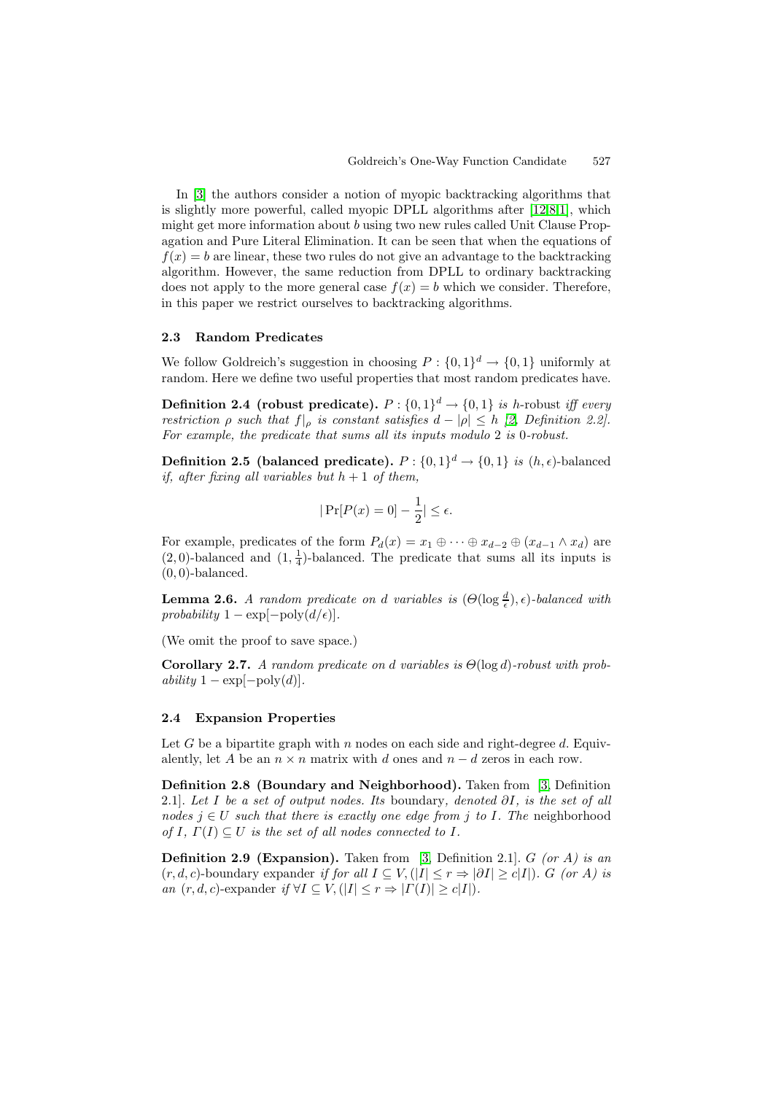In [3] the authors consider a notion of myopic backtracking algorithms that is slightly more powerful, called myopic DPLL algorithms after [12,8,1], which might get more information about b using two new rules called Unit Clause Propagation and Pure Literal Elimination. It can be seen that when the equations of  $f(x) = b$  $f(x) = b$  $f(x) = b$  are linear, these two rules do not give an advantage to the backtracking algorithm. However, the same reduction from DPLL to ordinar[y b](#page-16-8)[ac](#page-16-9)[kt](#page-16-7)racking does not apply to the more general case  $f(x) = b$  which we consider. Therefore, in this paper we restrict ourselves to backtracking algorithms.

## **2.3 Random Predicates**

We follow Goldreich's suggestion in choosing  $P: \{0,1\}^d \to \{0,1\}$  uniformly at random. Here we define two useful properties that most random predicates have.

**Definition 2.4 (robust predicate).**  $P: \{0,1\}^d \rightarrow \{0,1\}$  *is h*-robust *iff every restriction*  $\rho$  *such that*  $f|_{\rho}$  *is constant satisfies*  $d - |\rho| \leq h$  [2, Definition 2.2]. *For example, the predicate that sums all its inputs modulo* 2 *is* 0*-robust.*

**Definition 2.5 (balanced predicate).**  $P: \{0,1\}^d \to \{0,1\}$  *is*  $(h, \epsilon)$ -balanced *if, after fixing all variables but*  $h + 1$  *of them,* 

$$
|\Pr[P(x) = 0] - \frac{1}{2}| \le \epsilon.
$$

For example, predicates of the form  $P_d(x) = x_1 \oplus \cdots \oplus x_{d-2} \oplus (x_{d-1} \wedge x_d)$  are  $(2,0)$ -balanced and  $(1, \frac{1}{4})$ -balanced. The predicate that sums all its inputs is  $(0, 0)$ -balanced.

**Lemma 2.6.** *A random predicate on d variables is*  $(\Theta(\log \frac{d}{\epsilon}), \epsilon)$ -balanced with  $\text{probability } 1 - \exp[-\text{poly}(d/\epsilon)].$ 

(We omit the proof to save space.)

**Corollary 2.7.** *A random predicate on* d *variables is* Θ(log d)*-robust with prob* $ability 1 - exp[-poly(d)].$ 

### **2.4 Expansion Properties**

Let G be a bipartite graph with n nodes on each side and right-degree d. Equivalently, let A be an  $n \times n$  matrix with d ones and  $n - d$  zeros in each row.

**Definition 2.8 (Boundary and Neighborhood).** Taken from [3, Definition 2.1]. *Let* I *be a set of output nodes. Its* boundary*, denoted* ∂I*, is the set of all nodes*  $j \in U$  *such that there is exactly one edge from* j *to* I. The neighborhood *of*  $I, \Gamma(I) \subseteq U$  *is the set of all nodes connected to*  $I$ *.* 

<span id="page-6-0"></span>**Definition 2.9 (Expansion).** Taken from [3, Definition 2.1]. G *[\(o](#page-16-6)r* A*) is an*  $(r, d, c)$ -boundary expander *if for all*  $I \subseteq V$ ,  $(|I| \leq r \Rightarrow |\partial I| \geq c|I|)$ *.* G (or A) is *an*  $(r, d, c)$ -expander *if*  $\forall I \subseteq V, (|I| \leq r \Rightarrow |I(I)| \geq c|I|)$ .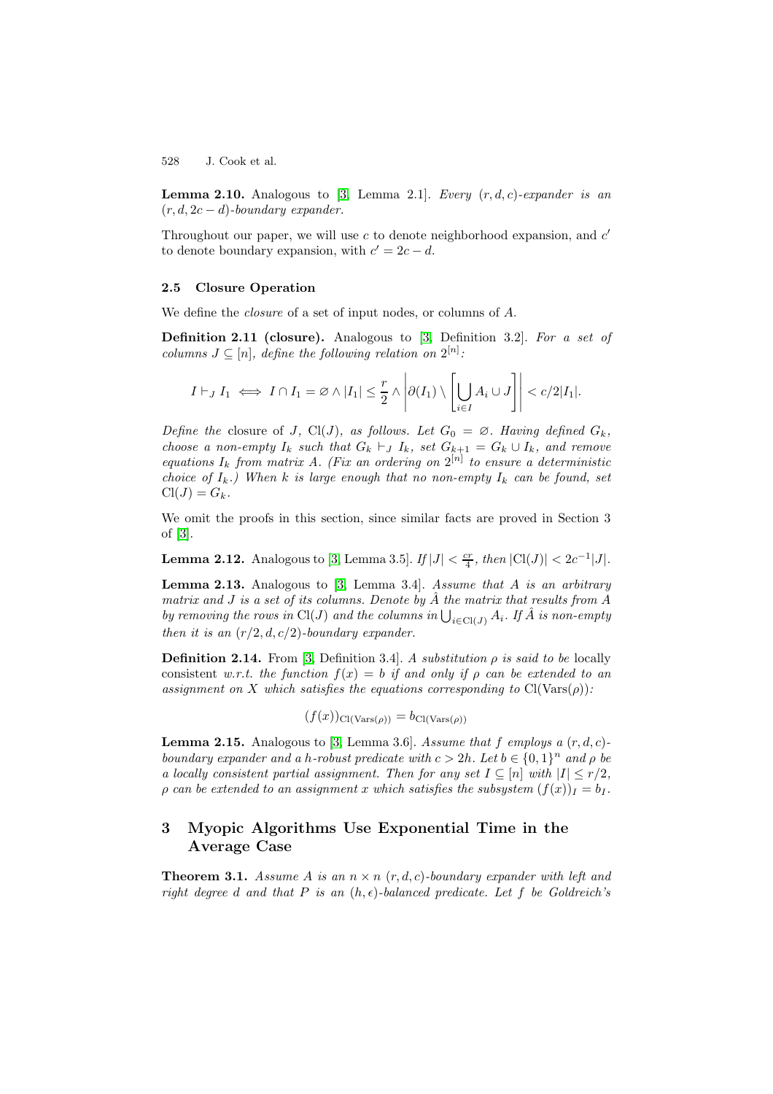**Lemma 2.10.** Analogous to [3, Lemma 2.1]. *Every*  $(r, d, c)$ *-expander is an* (r, d, 2c − d)*-boundary expander.*

Throughout our paper, we will use  $c$  to denote neighborhood expansion, and  $c'$ to denote boundary expansion, [w](#page-16-6)ith  $c' = 2c - d$ .

#### **2.5 Closure Operation**

We define the *closure* of a set of input nodes, or columns of A.

**Definition 2.11 (closure).** Analogous to [3, Definition 3.2]. *For a set of columns*  $J \subseteq [n]$ *, define the following relation on*  $2^{[n]}$ *:* 

$$
I\vdash_J I_1 \iff I\cap I_1=\varnothing\wedge |I_1|\leq \frac{r}{2}\wedge \left|\partial(I_1)\setminus \left[\bigcup_{i\in I}A_i\cup J\right]\right|
$$

*Define the* closure of *J*, Cl(*J*), as follows. Let  $G_0 = \emptyset$ . Having defined  $G_k$ , *choose a non-empty*  $I_k$  *such that*  $G_k \vdash_j I_k$ *, set*  $G_{k+1} = G_k \cup I_k$ *, and remove equations*  $I_k$  *from matrix A. (Fix an ordering on*  $2^{[n]}$  *to ensure a deterministic choice of*  $I_k$ *.) When* k *is large enough that no non-empty*  $I_k$  *can be found, set*  $Cl(J) = G_k.$ 

We omit the proofs in this section, since similar facts are proved in Section 3 of [3].

**Lemma 2.12.** Analogous to [3, Lemma 3.5]. *If*  $|J| < \frac{cr}{4}$ , then  $|\text{Cl}(J)| < 2c^{-1}|J|$ .

<span id="page-7-1"></span>**Lemma 2.13.** Analogous to [3, Lemma 3.4]. *Assume that* A *is an arbitrary m[atr](#page-16-6)ix and* J *is a set of its columns. Denote by* Aˆ *the matrix that results from* A *by removing the rows in*  $\text{Cl}(J)$  *[an](#page-16-6)d the columns in*  $\bigcup_{i \in \text{Cl}(J)} A_i$ *. If*  $\hat{A}$  *is non-empty then it is an*  $(r/2, d, c/2)$ *-boundary expander.* 

<span id="page-7-3"></span>**De[fin](#page-16-6)ition 2.14.** From [3, Definition 3.4]. *A substitution*  $\rho$  *is said to be* locally consistent *w.r.t. the function*  $f(x) = b$  *if and only if*  $\rho$  *can be extended to an assignment on* X *which satisfies the equations corresponding to*  $Cl(Vars(\rho))$ :

$$
(f(x))_{\mathrm{Cl}(\mathrm{Vars}(\rho))} = b_{\mathrm{Cl}(\mathrm{Vars}(\rho))}
$$

**Lemma 2.15.** Analogous to [3, Lemma 3.6]. Assume that f employs a  $(r, d, c)$ *boundary expander and a h-robust predicate with*  $c > 2h$ *. Let*  $b \in \{0, 1\}^n$  *and*  $\rho$  *be a locally consistent partial assignment. Then for any set*  $I \subseteq [n]$  *with*  $|I| \leq r/2$ ,  $\rho$  can be extended to an assignment x which satisfies the subsystem  $(f(x))_I = b_I$ .

# <span id="page-7-2"></span>**3 Myopic Algorithms Use Exponential Time in the Average Case**

<span id="page-7-0"></span>**Theorem 3.1.** Assume A is an  $n \times n$   $(r, d, c)$ *-boundary expander with left and right degree* d and that P is an  $(h, \epsilon)$ -balanced predicate. Let f be Goldreich's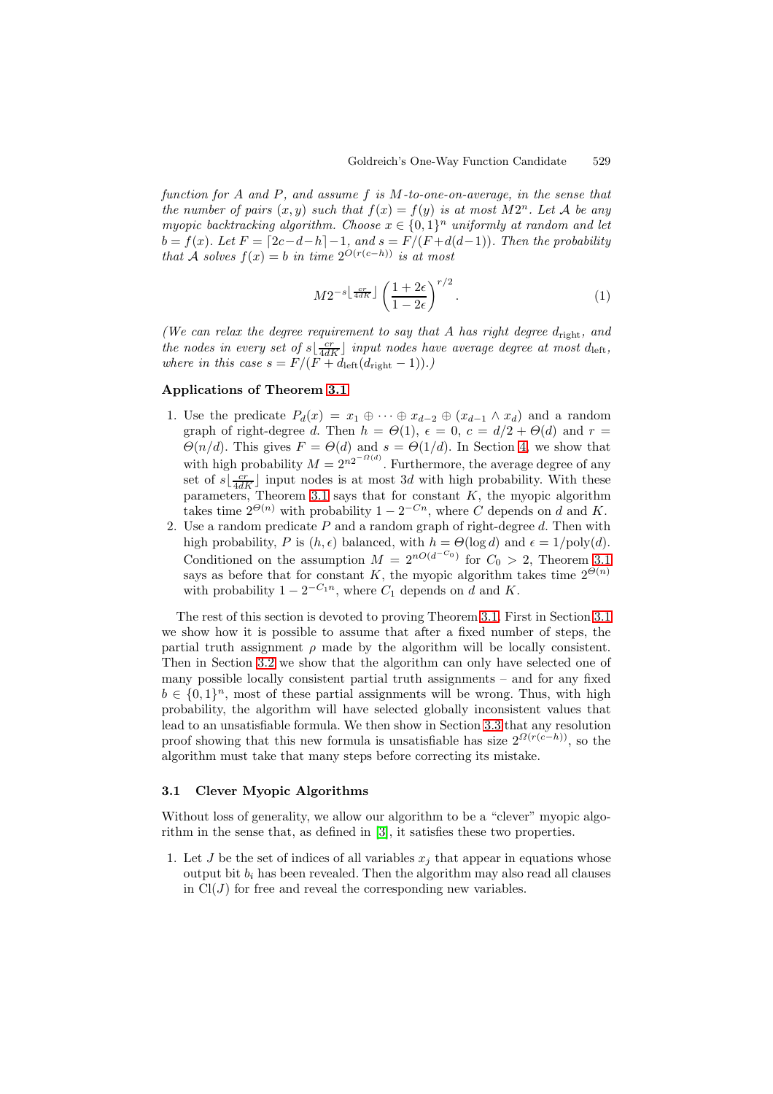*function for* A *and* P*, and assume* f *is* M*-to-one-on-average, in the sense that the number of pairs*  $(x, y)$  *such that*  $f(x) = f(y)$  *is at most*  $M2^n$ *. Let* A *be any myopic backtracking algorithm. Choose*  $x \in \{0,1\}^n$  *uniformly at random and let*  $b = f(x)$ *. Let*  $F = \lfloor 2c - d - h \rfloor - 1$ *, and*  $s = F/(F + d(d-1))$ *. Then the probability that*  $\overrightarrow{A}$  *solves*  $f(x) = b$  *in time*  $2^{\overrightarrow{O}(r(c-h))}$  *is at most* 

$$
M2^{-s\left\lfloor \frac{cr}{4dK} \right\rfloor} \left(\frac{1+2\epsilon}{1-2\epsilon}\right)^{r/2}.
$$
 (1)

*(We can relax the degree requirement to say that* A *has right degree*  $d_{\text{right}}$ *, and the nodes in every set of*  $s\left\lfloor \frac{cr}{4dK} \right\rfloor$  *input nodes have average degree at most*  $d_{\text{left}}$ , *where in this case*  $s = F/(F + d_{\text{left}}(d_{\text{right}} - 1)).$ 

# **Applications of Theorem 3.1**

- 1. Use the predicate  $P_d(x) = x_1 \oplus \cdots \oplus x_{d-2} \oplus (x_{d-1} \wedge x_d)$  and a random graph of right-degree d. Then  $h = \Theta(1)$ ,  $\epsilon = 0$ ,  $c = d/2 + \Theta(d)$  and  $r =$  $\Theta(n/d)$ . This gives  $F = \Theta(d)$  and  $s = \Theta(1/d)$ . In Section 4, we show that with high probability  $M = 2^{n2^{-\Omega(d)}}$ . Furthermore, the average degree of any set of  $s\left\lfloor \frac{cr}{4dK} \right\rfloor$  input nodes is at most 3d with high probability. With these parameters, Theorem 3.1 says that for constant  $K$ , the myopic algorithm takes time  $2^{\Theta(n)}$  with probability  $1 - 2^{-Cn}$ , where C depe[nd](#page-14-0)s on d and K.
- 2. Use a random predicate  $P$  and a random graph of right-degree  $d$ . Then with high probability, P is  $(h, \epsilon)$  balanced, with  $h = \Theta(\log d)$  and  $\epsilon = 1/\text{poly}(d)$ . Conditioned on the a[ssum](#page-7-0)ption  $M = 2^{nO(d^{-C_0})}$  for  $C_0 > 2$ , Theorem 3.1 says as before that for constant K, the myopic algorithm takes time  $2^{\Theta(n)}$ with probability  $1 - 2^{-C_1 n}$ , where  $C_1$  depends on d and K.

The rest of this section is devoted to proving Theorem 3.1. First in Section 3.1 we show how it is possible to assume that after a fixed number of steps, [the](#page-7-0) partial truth assignment  $\rho$  made by the algorithm will be locally consistent. Then in Section 3.2 we show that the algorithm can only have selected one of many possible locally consistent partial truth assignme[nts](#page-7-0) – and for any fi[xed](#page-8-0)  $b \in \{0,1\}^n$ , most of these partial assignments will be wrong. Thus, with high probability, the algorithm will have selected globally inconsistent values that lead to an unsati[sfiab](#page-9-0)le formula. We then show in Section 3.3 that any resolution proof showing that this new formula is unsatisfiable has size  $2^{\Omega(r(c-h))}$ , so the algorithm must take that many steps before correcting its mistake.

#### **3.1 Clever Myopic Algorithms**

Without loss of generality, we allow our algorithm to be a "clever" myopic algorithm in the sense that, as defined in [3], it satisfies these two properties.

<span id="page-8-0"></span>1. Let J be the set of indices of all variables  $x_j$  that appear in equations whose output bit  $b_i$  has been revealed. Then the algorithm may also read all clauses in  $Cl(J)$  for free and reveal the co[rre](#page-16-6)sponding new variables.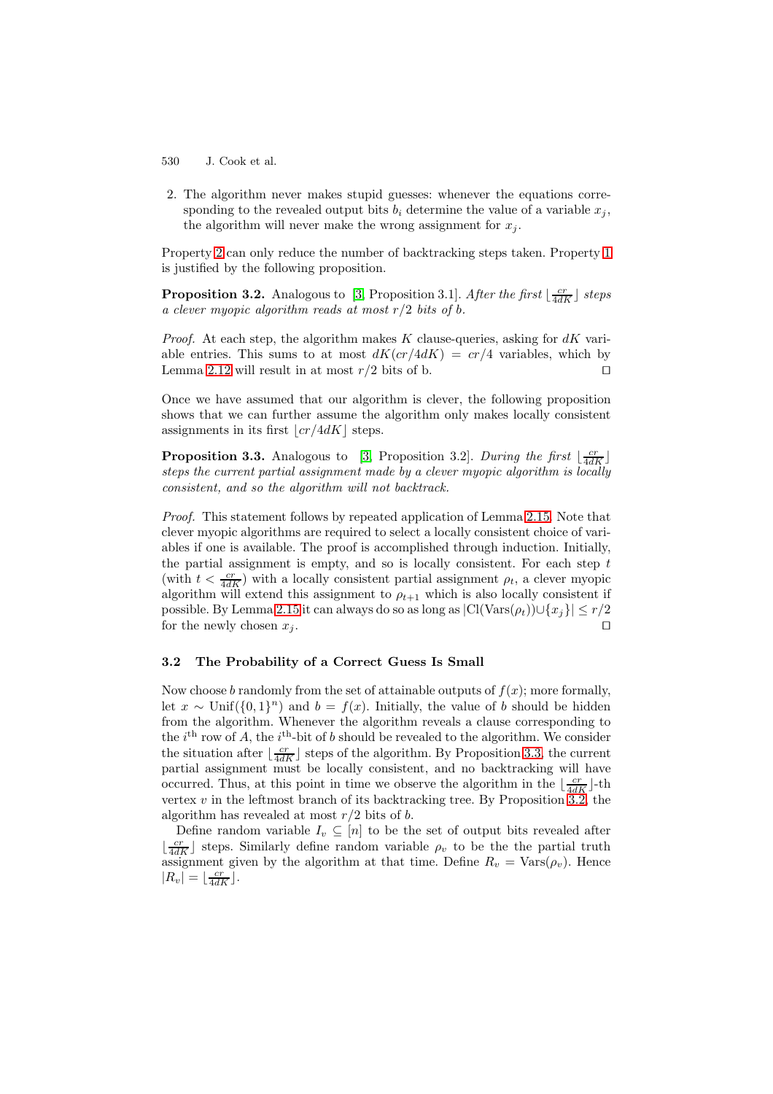- 530 J. Cook et al.
- 2. The algorithm never makes stupid guesses: whenever the equations corresponding to the revealed output bits  $b_i$  determine the value of a variable  $x_i$ , the algorithm will never make the wrong assignment for  $x_j$ .

<span id="page-9-1"></span>Property 2 can only reduce the number of backtracking steps taken. Property 1 is justified by the following proposition.

**Proposition 3.2.** Analogous to [3, Proposition 3.1]. *After the first*  $\lfloor \frac{cr}{4dK} \rfloor$  *steps a clever [my](#page-9-1)opic algorithm reads at most* r/2 *bits of* b*.*

<span id="page-9-2"></span>*Proof.* At each step, the algorithm makes K clause-queries, asking for  $dK$  variable entries. This sums to at m[ost](#page-16-6)  $dK(cr/4dK) = cr/4$  variables, which by Lemma 2.12 will result in at most  $r/2$  bits of b.

Once we have assumed that our algorithm is clever, the following proposition shows that we can further assume the algorithm only makes locally consistent assignm[ents](#page-7-1) in its first  $|cr/4dK|$  steps.

**Proposition 3.3.** Analogous to [3, Proposition 3.2]. *During the first*  $\left[\frac{cr}{4dK}\right]$ *steps the current partial assignment made by a clever myopic algorithm is locally consistent, and so the algorithm will not backtrack.*

*Proof.* This statement follows by re[pe](#page-16-6)ated application of Lemma 2.15. Note that clever myopic algorithms are required to select a locally consistent choice of variables if one is available. The proof is accomplished through induction. Initially, the partial assignment is empty, and so is locally consistent. For each step  $t$ (with  $t < \frac{cr}{4dK}$ ) with a locally consistent partial assignment  $\rho_t$ , [a clev](#page-7-2)er myopic algorithm will extend this assignment to  $\rho_{t+1}$  which is also locally consistent if possible. By Lemma 2.15 it can always do so as long as  $|Cl(Vars(\rho_t)) \cup \{x_i\}| \leq r/2$ for the newly chosen  $x_j$ .

# **3.2 The Probab[ility](#page-7-2) of a Correct Guess Is Small**

<span id="page-9-0"></span>Now choose b randomly from the set of attainable outputs of  $f(x)$ ; more formally, let  $x \sim \text{Unif}(\{0,1\}^n)$  and  $b = f(x)$ . Initially, the value of b should be hidden from the algorithm. Whenever the algorithm reveals a clause corresponding to the  $i^{\text{th}}$  row of A, the  $i^{\text{th}}$ -bit of b should be revealed to the algorithm. We consider the situation after  $\lfloor \frac{cr}{4dK} \rfloor$  steps of the algorithm. By Proposition 3.3, the current partial assignment must be locally consistent, and no backtracking will have occurred. Thus, at this point in time we observe the algorithm in the  $\lfloor \frac{cr}{4dK} \rfloor$ -th vertex  $v$  in the leftmost branch of its backtracking tree. By Proposition 3.2, the algorithm has revealed at most  $r/2$  bits of b.

<span id="page-9-3"></span>Define random variable  $I_v \subseteq [n]$  to be the set of output bits revealed after  $\lfloor \frac{cr}{4dK} \rfloor$  steps. Similarly define random variable  $\rho_v$  to be the the partial truth assignment given by the algorithm at that time. Define  $R_v = \text{Vars}(\rho_v)$ . Hence  $|R_v| = \lfloor \frac{cr}{4dK} \rfloor.$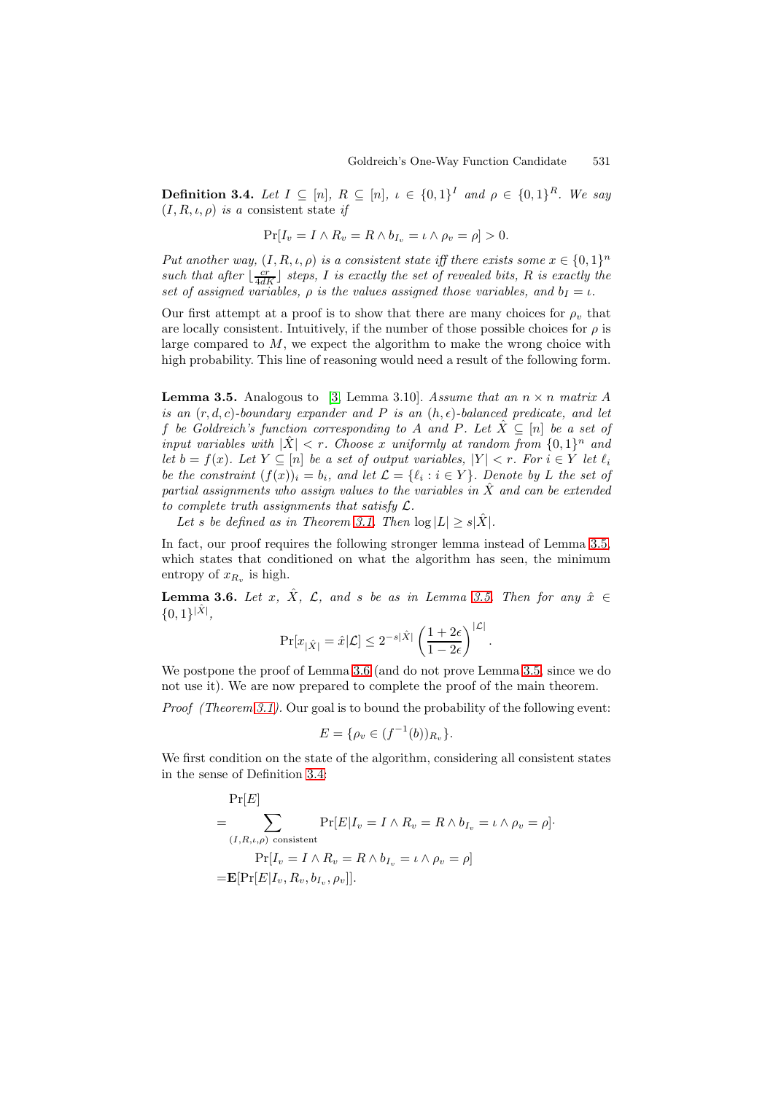**Definition 3.4.** *Let*  $I \subseteq [n]$ *,*  $R \subseteq [n]$ *,*  $\iota \in \{0,1\}^I$  *and*  $\rho \in \{0,1\}^R$ *. We say*  $(I, R, \iota, \rho)$  *is a* consistent state *if* 

$$
\Pr[I_v = I \wedge R_v = R \wedge b_{I_v} = \iota \wedge \rho_v = \rho] > 0.
$$

*Put another way,*  $(I, R, \iota, \rho)$  *is a consistent state iff there exists some*  $x \in \{0, 1\}^n$  $such that after \lfloor \frac{cr}{4dK} \rfloor steps, I is exactly the set of revealed bits, R is exactly the$ *set of assigned variables,*  $\rho$  *is the values assigned those variables, and*  $b_I = \iota$ .

Our first attempt at a proof is to show that there are many choices for  $\rho_v$  that are locally consistent. Intuitively, if the number of those possible choices for  $\rho$  is large compared to  $M$ , we expect the algorithm to make the wrong choice with high probability. This line of reasoning would need a result of the following form.

<span id="page-10-0"></span>**Lemma 3.5.** Analogous to [3, Lemma 3.10]. Assume that an  $n \times n$  matrix A *is an*  $(r, d, c)$ -boundary expander and P *is an*  $(h, \epsilon)$ -balanced predicate, and let f *be Goldreich's function corresponding to* A and P. Let  $\hat{X} \subseteq [n]$  *be a set of input variables with*  $|\hat{X}| < r$ . Choose x *uniformly at random from*  $\{0,1\}^n$  *and let*  $b = f(x)$ *. Let*  $Y \subseteq [n]$  *be [a s](#page-16-6)et of output variables,*  $|Y| < r$ *. For*  $i \in Y$  *let*  $\ell_i$ *be the constraint*  $(f(x))_i = b_i$ *, and let*  $\mathcal{L} = \{\ell_i : i \in Y\}$ *. Denote by* L *the set of partial assignments who assign values to the variables in* Xˆ *and can be extended to complete truth assignments that satisfy* L*.*

*Let* s *be defined as in Theorem 3.1. Then*  $\log |L| \geq s|\hat{X}|$ *.* 

In fact, our proof requires the following stronger lemma instead of Lemma 3.5, which states that conditioned on what the algorithm has seen, the minimum entropy of  $x_{R_v}$  is high.

**Lemma 3.6.** *Let* x,  $\hat{X}$ ,  $\mathcal{L}$ , and [s](#page-7-0) be as in Lemma 3.5. Then for any  $\hat{x} \in$  ${0,1\}^{|\hat{X}|},$ 

<span id="page-10-1"></span>
$$
\Pr[x_{|\hat{X}|} = \hat{x}|\mathcal{L}] \le 2^{-s|\hat{X}|} \left(\frac{1+2\epsilon}{1-2\epsilon}\right)^{|\mathcal{L}|}.
$$

We postpone the proof of Lemma 3.6 (and do not prov[e](#page-10-0) [Le](#page-10-0)mma 3.5, since we do not use it). We are now prepared to complete the proof of the main theorem.

*Proof (Theorem 3.1).* Our goal is to bound the probability of the following event:

$$
E = \{ \rho_v \in (f^{-1}(b))_{R_v} \}.
$$

We first condition on the state of the algorithm, considering all consistent states in the sense of [Defin](#page-7-0)ition 3.4:

$$
\Pr[E]
$$
\n
$$
= \sum_{(I,R,\iota,\rho) \text{ consistent}} \Pr[E|I_v = I \wedge R_v = R \wedge b_{I_v} = \iota \wedge \rho_v = \rho].
$$
\n
$$
\Pr[I_v = I \wedge R_v = R \wedge b_{I_v} = \iota \wedge \rho_v = \rho]
$$
\n
$$
= \mathbf{E}[\Pr[E|I_v, R_v, b_{I_v}, \rho_v]].
$$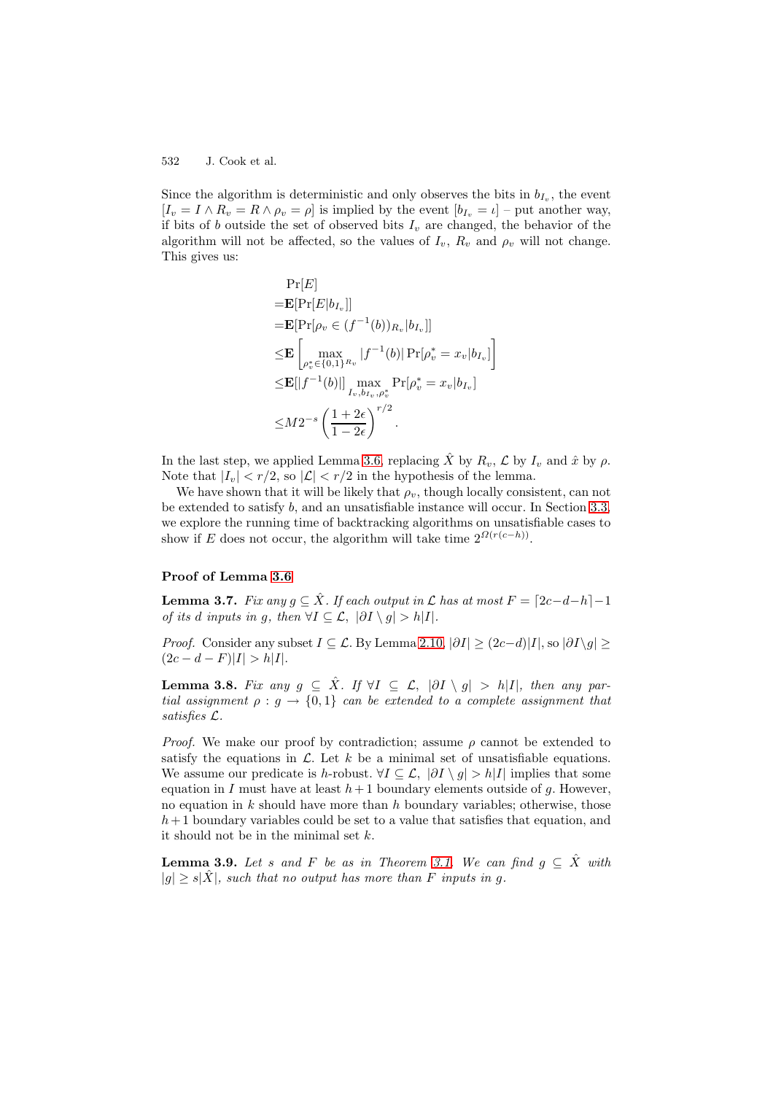Since the algorithm is deterministic and only observes the bits in  $b_{I_v}$ , the event  $[I_v = I \wedge R_v = R \wedge \rho_v = \rho]$  is implied by the event  $[b_{I_v} = \iota]$  – put another way, if bits of b outside the set of observed bits  $I_v$  are changed, the behavior of the algorithm will not be affected, so the values of  $I_v$ ,  $R_v$  and  $\rho_v$  will not change. This gives us:

$$
\Pr[E] = \mathbf{E}[\Pr[E|b_{I_v}]]
$$
\n
$$
= \mathbf{E}[\Pr[p_v \in (f^{-1}(b))_{R_v} | b_{I_v}]]
$$
\n
$$
\leq \mathbf{E} \left[ \max_{\rho_v^* \in \{0,1\}^{R_v}} |f^{-1}(b)| \Pr[\rho_v^* = x_v | b_{I_v}] \right]
$$
\n
$$
\leq \mathbf{E}[|f^{-1}(b)|] \max_{I_v, b_{I_v}, \rho_v^*} \Pr[\rho_v^* = x_v | b_{I_v}]
$$
\n
$$
\leq M 2^{-s} \left( \frac{1 + 2\epsilon}{1 - 2\epsilon} \right)^{r/2}.
$$

In the last step, we applied Lemma 3.6, replacing  $\hat{X}$  by  $R_v$ ,  $\mathcal{L}$  by  $I_v$  and  $\hat{x}$  by  $\rho$ . Note that  $|I_v| < r/2$ , so  $|\mathcal{L}| < r/2$  in the hypothesis of the lemma.

We have shown that it will be likely that  $\rho_v$ , though locally consistent, can not be extended to satisfy b, and an unsatisfiable instance will occur. In Section 3.3, we explore the running time of bac[ktrac](#page-10-1)king algorithms on unsatisfiable cases to show if E does not occur, the algorithm will take time  $2^{\Omega(r(c-h))}$ .

### **Proof of Lemma 3.6**

**Lemma 3.7.** *Fix any*  $g \subseteq \hat{X}$ *. If each output in*  $\mathcal L$  *has at most*  $F = \lfloor 2c - d - h \rfloor - 1$ *of its d inputs in g, then*  $\forall I \subseteq \mathcal{L}$ ,  $|\partial I \setminus g| > h|I|$ *.* 

*Proof.* Consider an[y sub](#page-10-1)set  $I \subseteq \mathcal{L}$ . By Lemma 2.10,  $|\partial I| \geq (2c-d)|I|$ , so  $|\partial I \setminus g| \geq$  $(2c - d - F)|I| > h|I|.$ 

**Lemma 3.8.** *Fix any*  $g \subseteq \hat{X}$ . If  $\forall I \subseteq \mathcal{L}$ ,  $|\partial I \setminus g| > h|I|$ , then any par*tial assignment*  $\rho : g \to \{0,1\}$  *can be exten[ded to](#page-6-0) a complete assignment that satisfies* L*.*

*Proof.* We make our proof by contradiction; assume  $\rho$  cannot be extended to satisfy the equations in  $\mathcal{L}$ . Let k be a minimal set of unsatisfiable equations. We assume our predicate is h-robust.  $\forall I \subseteq \mathcal{L}, |\partial I \setminus g| > h|I|$  implies that some equation in I must have at least  $h+1$  boundary elements outside of g. However, no equation in k should have more than h boundary variables; otherwise, those  $h+1$  boundary variables could be set to a value that satisfies that equation, and it should not be in the minimal set k.

**Lemma 3.9.** *Let* s and F be as in Theorem 3.1. We can find  $g \subseteq \hat{X}$  with  $|g| \geq s|\hat{X}|$ , such that no output has more than F inputs in g.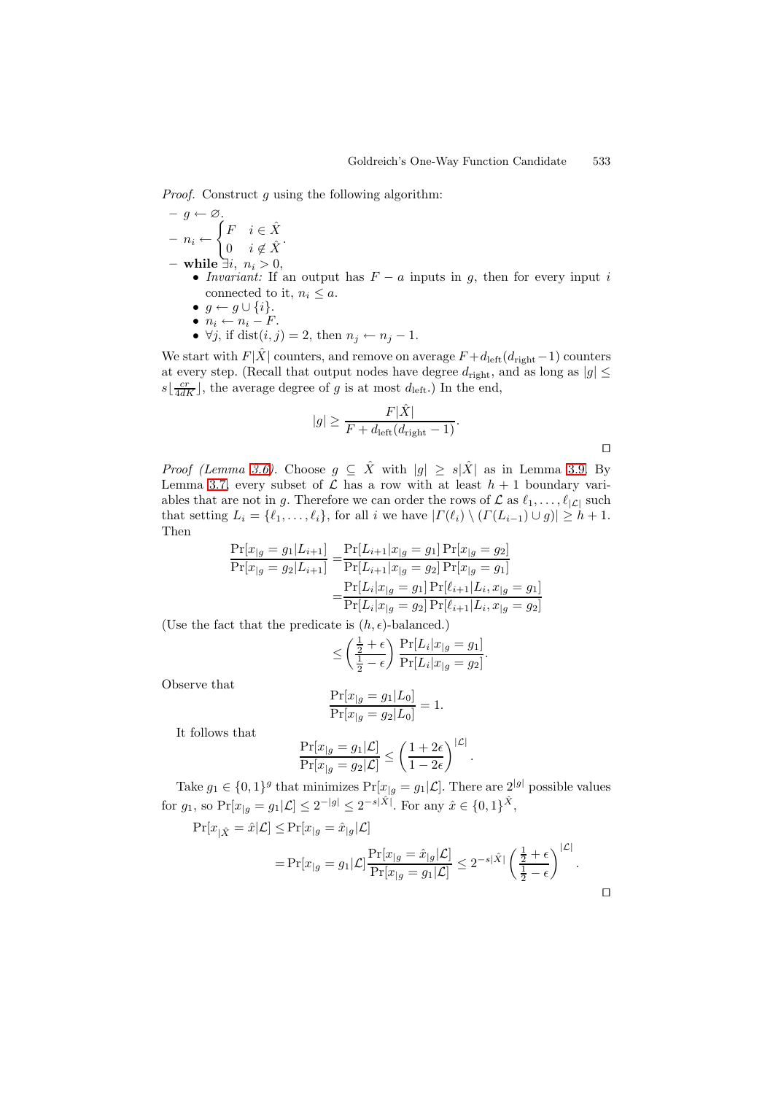*Proof.* Construct g using the following algorithm:

- **–** g ← ∅.  $- n_i \leftarrow$  $\int F \quad i \in \hat{X}$ 0  $i \notin \hat{X}$ <sup>.</sup> • *Invariant:* If an output has  $F - a$  inputs in g, then for every input i connected to it,  $n_i \leq a$ . •  $g \leftarrow g \cup \{i\}.$ •  $n_i \leftarrow n_i - F$ .
	- $\forall j$ , if dist $(i, j) = 2$ , then  $n_j \leftarrow n_j 1$ .

We start with  $F|\hat{X}|$  counters, and remove on average  $F + d_{\text{left}}(d_{\text{right}}-1)$  counters at every step. (Recall that output nodes have degree  $d_{\text{right}}$ , and as long as  $|g| \leq$  $s\left\lfloor \frac{cr}{4dK} \right\rfloor$ , the average degree of g is at most  $d_{\text{left}}$ .) In the end,

$$
|g| \ge \frac{F|\hat{X}|}{F + d_{\text{left}}(d_{\text{right}} - 1)}.
$$

.

*Proof (Lemma 3.6).* Choose  $g \subseteq \hat{X}$  with  $|g| \geq s|\hat{X}|$  as in Lemma 3.9. By Lemma 3.7, every subset of  $\mathcal L$  has a row with at least  $h + 1$  boundary variables that are not in g. Therefore we can order the rows of  $\mathcal L$  as  $\ell_1,\ldots,\ell_{|\mathcal L|}$  such that setting  $L_i = \{\ell_1,\ldots,\ell_i\}$ , for all i we have  $|\Gamma(\ell_i) \setminus (\Gamma(L_{i-1}) \cup g)| \geq h+1$ . Then

$$
\frac{\Pr[x_{|g}=g_1|L_{i+1}]}{\Pr[x_{|g}=g_2|L_{i+1}]} = \frac{\Pr[L_{i+1}|x_{|g}=g_1]\Pr[x_{|g}=g_2]}{\Pr[L_{i+1}|x_{|g}=g_2]\Pr[x_{|g}=g_1]} \n= \frac{\Pr[L_i|x_{|g}=g_1]\Pr[\ell_{i+1}|L_i, x_{|g}=g_1]}{\Pr[L_i|x_{|g}=g_2]\Pr[\ell_{i+1}|L_i, x_{|g}=g_2]}
$$

(Use the fact that the predicate is  $(h, \epsilon)$ -balanced.)

$$
\leq \left(\frac{\frac{1}{2} + \epsilon}{\frac{1}{2} - \epsilon}\right) \frac{\Pr[L_i | x_{|g} = g_1]}{\Pr[L_i | x_{|g} = g_2]}
$$

Observe that

$$
\frac{\Pr[x_{|g} = g_1 | L_0]}{\Pr[x_{|g} = g_2 | L_0]} = 1.
$$

It follows that

$$
\frac{\Pr[x_{|g} = g_1 | \mathcal{L}]}{\Pr[x_{|g} = g_2 | \mathcal{L}]} \le \left(\frac{1 + 2\epsilon}{1 - 2\epsilon}\right)^{|\mathcal{L}|}.
$$

Take  $g_1 \in \{0,1\}^g$  that minimizes  $Pr[x_{|g} = g_1 | \mathcal{L}]$ . There are  $2^{|g|}$  possible values for  $g_1$ , so  $Pr[x_{|g} = g_1 | \mathcal{L}] \leq 2^{-|g|} \leq 2^{-s|\hat{X}|}$ . For any  $\hat{x} \in \{0, 1\}^{\hat{X}},$ 

$$
\begin{split} \Pr[x_{|\hat{X}} = \hat{x}|\mathcal{L}] &\leq \Pr[x_{|g} = \hat{x}_{|g}|\mathcal{L}] \\ &= \Pr[x_{|g} = g_1|\mathcal{L}] \frac{\Pr[x_{|g} = \hat{x}_{|g}|\mathcal{L}]}{\Pr[x_{|g} = g_1|\mathcal{L}]} \leq 2^{-s|\hat{X}|} \left(\frac{\frac{1}{2} + \epsilon}{\frac{1}{2} - \epsilon}\right)^{|\mathcal{L}|} .\end{split}
$$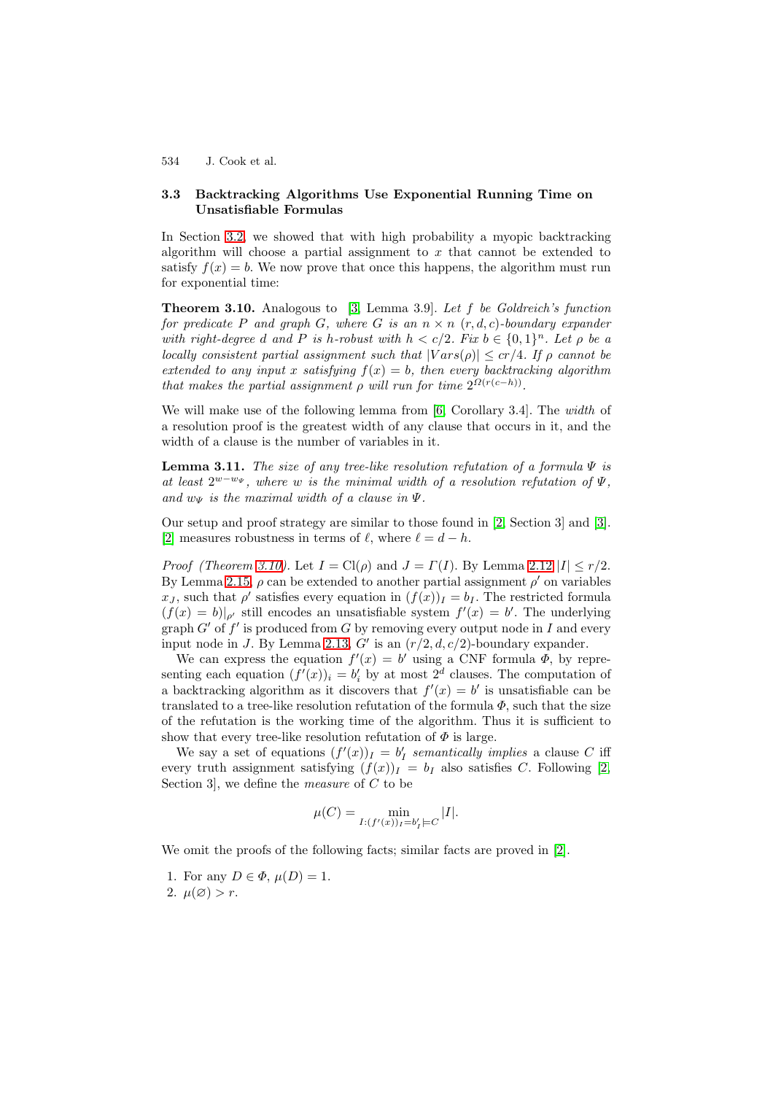## **3.3 Backtracking Algorithms Use Exponential Running Time on Unsatisfiable Formulas**

In Section 3.2, we showed that with high probability a myopic backtracking algorithm will choose a partial assignment to  $x$  that cannot be extended to satisfy  $f(x) = b$ . We now prove that once this happens, the algorithm must run for exponential time:

<span id="page-13-0"></span>**Theorem [3.10](#page-9-0).** Analogous to [3, Lemma 3.9]. *Let* f *be Goldreich's function for predicate* P *and graph* G*, where* G *is an* n × n (r, d, c)*-boundary expander with right-degree* d and P is h-robust with  $h < c/2$ . Fix  $b \in \{0,1\}^n$ . Let  $\rho$  be a *locally consistent partial assignment such that*  $|Vars(\rho)| \leq cr/4$ *. If*  $\rho$  *cannot be extended to any input* x *satisfyi[ng](#page-16-6)*  $f(x) = b$ *, then every backtracking algorithm that makes the partial assignment*  $\rho$  *will run for time*  $2^{\Omega(r(c-h))}$ .

We will make use of the following lemma from [6, Corollary 3.4]. The *width* of a resolution proof is the greatest width of any clause that occurs in it, and the width of a clause is the number of variables in it.

**Lemma 3.11.** *The size of any tree-like resolution refutation of a formula*  $\Psi$  *is at least*  $2^{w-w_{\Psi}}$ *, where w is the minimal width [of](#page-16-10) a resolution refutation of*  $\Psi$ *, and*  $w_{\Psi}$  *is the maximal width of a clause in*  $\Psi$ *.* 

<span id="page-13-3"></span>Our setup and proof strategy are similar to those found in [2, Section 3] and [3]. [2] measures robustness in terms of  $\ell$ , where  $\ell = d - h$ .

*Proof (Theorem 3.10).* Let  $I = Cl(\rho)$  and  $J = \Gamma(I)$ . By Lemma 2.12  $|I| \leq r/2$ . By Lemma 2.15,  $\rho$  can be extended to another partial assig[nm](#page-16-11)ent  $\rho'$  on varia[ble](#page-16-6)s  $x_J$  $x_J$ , such that  $\rho'$  satisfies every equation in  $(f(x))_I = b_I$ . The restricted formula  $(f(x) = b)|_{\rho'}$  still encodes an unsatisfiable system  $f'(x) = b'$ . The underlying graph  $G'$  of  $f'$  is [produ](#page-13-0)ced from G by removing every output nod[e in](#page-7-1) I and every input node [in](#page-7-2) J. By Lemma 2.13,  $G'$  is an  $(r/2, d, c/2)$ -boundary expander.

We can express the equation  $f'(x) = b'$  using a CNF formula  $\Phi$ , by representing each equation  $(f'(x))_i = b'_i$  by at most  $2^d$  clauses. The computation of a backtracking algorithm as it discovers that  $f'(x) = b'$  is unsatisfiable can be translated to a tree-like resol[ution](#page-7-3) refutation of the formula  $\Phi$ , such that the size of the refutation is the working time of the algorithm. Thus it is sufficient to show that every tree-like resolution refutation of  $\Phi$  is large.

We say a set of equations  $(f'(x))_I = b'_I$  *semantically implies* a clause C iff every truth assignment satisfying  $(f(x))_I = b_I$  also satisfies C. Following [2, Section 3], we define the *measure* of C to be

$$
\mu(C) = \min_{I: (f'(x))_I = b'_I \models C} |I|.
$$

We omit the proofs of the following facts; similar facts are proved in [2].

- 1. For any  $D \in \Phi$ ,  $\mu(D) = 1$ .
- <span id="page-13-2"></span><span id="page-13-1"></span>2.  $\mu(\varnothing) > r$ .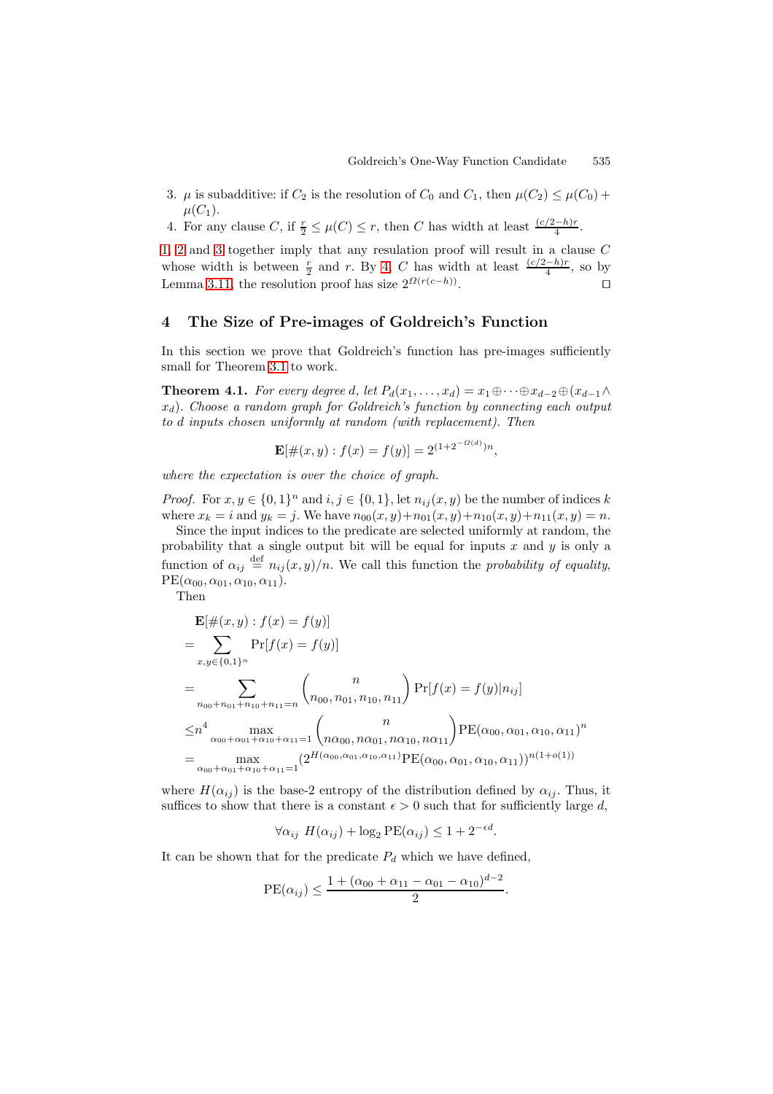- 3.  $\mu$  is subadditive: if  $C_2$  is the resolution of  $C_0$  and  $C_1$ , then  $\mu(C_2) \leq \mu(C_0)$  +  $\mu(C_1)$ .
- 4. For any clause C, if  $\frac{r}{2} \leq \mu(C) \leq r$ , then C has width at least  $\frac{(c/2-h)r}{4}$ .

<span id="page-14-2"></span><span id="page-14-1"></span>1, 2 and 3 together imply that any resulation proof will result in a clause C whose width is between  $\frac{r}{2}$  and r. By 4, C has width at least  $\frac{(c/2-h)r}{4}$ , so by Lemma 3.11, the resolution proof has size  $2^{\Omega(r(c-h))}$ .

# **[4](#page-13-1) Th[e](#page-14-1) [S](#page-14-1)ize of Pre-images o[f G](#page-14-2)oldreich's Function**

<span id="page-14-0"></span>In this [sectio](#page-13-3)n we prove that Goldreich's function has pre-images sufficiently small for Theorem 3.1 to work.

**Theorem 4.1.** *For every degree d, let*  $P_d(x_1,...,x_d) = x_1 \oplus \cdots \oplus x_{d-2} \oplus (x_{d-1} \wedge$  $x_d$ ). Choose a random graph for Goldreich's function by connecting each output *to* d *inputs chosen [uni](#page-7-0)formly at random (with replacement). Then*

$$
\mathbf{E}[\#(x,y): f(x) = f(y)] = 2^{(1+2^{-\Omega(d)})n},
$$

*where the expectation is over the choice of graph.*

*Proof.* For  $x, y \in \{0, 1\}^n$  and  $i, j \in \{0, 1\}$ , let  $n_{ij}(x, y)$  be the number of indices k where  $x_k = i$  and  $y_k = j$ . We have  $n_{00}(x, y) + n_{01}(x, y) + n_{10}(x, y) + n_{11}(x, y) = n$ .

Since the input indices to the predicate are selected uniformly at random, the probability that a single output bit will be equal for inputs  $x$  and  $y$  is only a function of  $\alpha_{ij} \stackrel{\text{def}}{=} n_{ij}(x, y)/n$ . We call this function the *probability of equality*,  $PE(\alpha_{00}, \alpha_{01}, \alpha_{10}, \alpha_{11}).$ 

Then

$$
\mathbf{E}[\#(x,y) : f(x) = f(y)]
$$
\n
$$
= \sum_{x,y \in \{0,1\}^n} \Pr[f(x) = f(y)]
$$
\n
$$
= \sum_{n_{00}+n_{01}+n_{10}+n_{11}=n} {n \choose n_{00}, n_{01}, n_{10}, n_{11}} \Pr[f(x) = f(y)|n_{ij}]
$$
\n
$$
\leq n^4 \max_{\alpha_{00}+\alpha_{01}+\alpha_{10}+\alpha_{11}=1} {n \choose n\alpha_{00}, n\alpha_{01}, n\alpha_{10}, n\alpha_{11}} \Pr[\alpha_{00}, \alpha_{01}, \alpha_{10}, \alpha_{11})^n
$$
\n
$$
= \max_{\alpha_{00}+\alpha_{01}+\alpha_{10}+\alpha_{11}=1} (2^{H(\alpha_{00}, \alpha_{01}, \alpha_{10}, \alpha_{11})} \Pr[(\alpha_{00}, \alpha_{01}, \alpha_{10}, \alpha_{11}))^{n(1+o(1))}
$$

where  $H(\alpha_{ij})$  is the base-2 entropy of the distribution defined by  $\alpha_{ij}$ . Thus, it suffices to show that there is a constant  $\epsilon > 0$  such that for sufficiently large d,

$$
\forall \alpha_{ij} \ H(\alpha_{ij}) + \log_2 \text{PE}(\alpha_{ij}) \le 1 + 2^{-\epsilon d}.
$$

It can be shown that for the predicate  $P_d$  which we have defined,

PE(
$$
\alpha_{ij}
$$
)  $\leq \frac{1 + (\alpha_{00} + \alpha_{11} - \alpha_{01} - \alpha_{10})^{d-2}}{2}$ .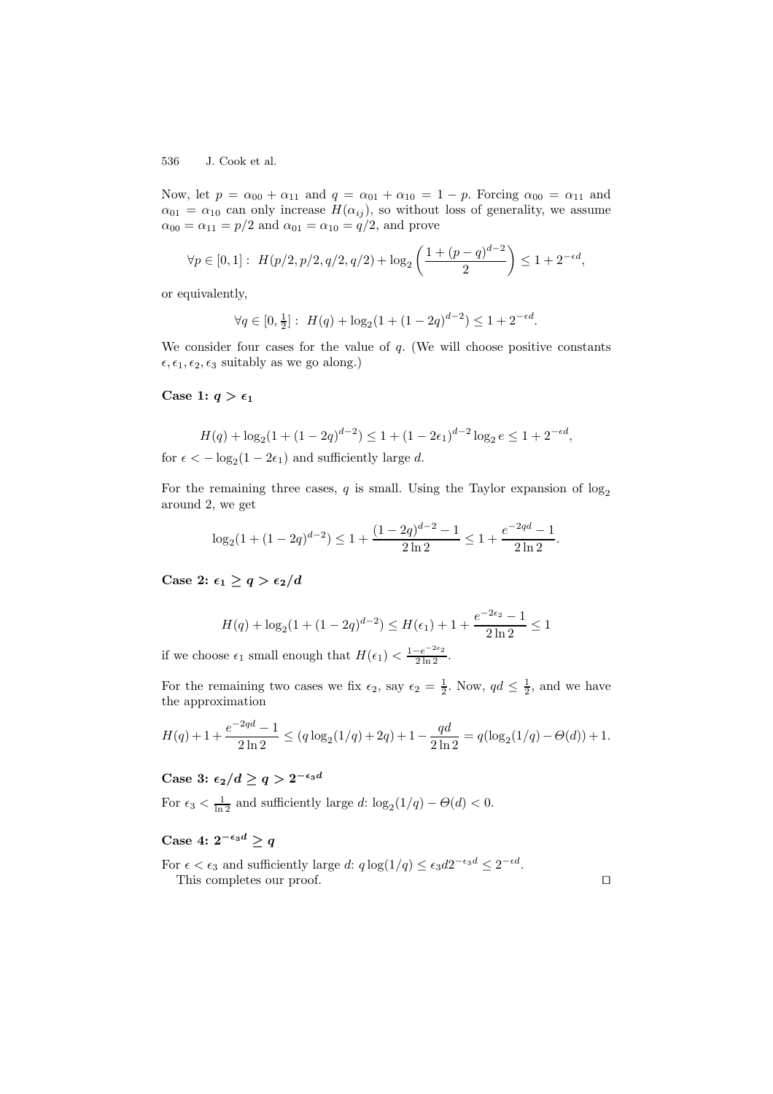Now, let  $p = \alpha_{00} + \alpha_{11}$  and  $q = \alpha_{01} + \alpha_{10} = 1 - p$ . Forcing  $\alpha_{00} = \alpha_{11}$  and  $\alpha_{01} = \alpha_{10}$  can only increase  $H(\alpha_{ij})$ , so without loss of generality, we assume  $\alpha_{00} = \alpha_{11} = p/2$  and  $\alpha_{01} = \alpha_{10} = q/2$ , and prove

$$
\forall p \in [0,1]: \ H(p/2, p/2, q/2, q/2) + \log_2\left(\frac{1 + (p - q)^{d - 2}}{2}\right) \le 1 + 2^{-\epsilon d},
$$

or equivalently,

$$
\forall q \in [0, \frac{1}{2}]: H(q) + \log_2(1 + (1 - 2q)^{d-2}) \le 1 + 2^{-\epsilon d}.
$$

We consider four cases for the value of  $q$ . (We will choose positive constants  $\epsilon, \epsilon_1, \epsilon_2, \epsilon_3$  suitably as we go along.)

# Case 1:  $q > \epsilon_1$

$$
H(q) + \log_2(1 + (1 - 2q)^{d-2}) \le 1 + (1 - 2\epsilon_1)^{d-2} \log_2 e \le 1 + 2^{-\epsilon d},
$$
  
for  $\epsilon < -\log_2(1 - 2\epsilon_1)$  and sufficiently large d.

For the remaining three cases, q is small. Using the Taylor expansion of  $log_2$ around 2, we get

$$
\log_2(1 + (1 - 2q)^{d-2}) \le 1 + \frac{(1 - 2q)^{d-2} - 1}{2\ln 2} \le 1 + \frac{e^{-2qd} - 1}{2\ln 2}.
$$

Case 2:  $\epsilon_1 \ge q > \epsilon_2/d$ 

$$
H(q) + \log_2(1 + (1 - 2q)^{d-2}) \le H(\epsilon_1) + 1 + \frac{e^{-2\epsilon_2} - 1}{2\ln 2} \le 1
$$

if we choose  $\epsilon_1$  small enough that  $H(\epsilon_1) < \frac{1 - e^{-2\epsilon_2}}{2 \ln 2}$ .

For the remaining two cases we fix  $\epsilon_2$ , say  $\epsilon_2 = \frac{1}{2}$ . Now,  $qd \leq \frac{1}{2}$ , and we have the approximation

$$
H(q) + 1 + \frac{e^{-2qd} - 1}{2 \ln 2} \le (q \log_2(1/q) + 2q) + 1 - \frac{qd}{2 \ln 2} = q(\log_2(1/q) - \Theta(d)) + 1.
$$

 $\text{Case 3: } \epsilon_2/d \ge q > 2^{-\epsilon_3 d}$ 

For  $\epsilon_3 < \frac{1}{\ln 2}$  and sufficiently large d:  $\log_2(1/q) - \Theta(d) < 0$ .

Case 4:  $2^{-\epsilon_3 d}$  ≥ *q* 

For  $\epsilon < \epsilon_3$  and sufficiently large d:  $q \log(1/q) \leq \epsilon_3 d2^{-\epsilon_3 d} \leq 2^{-\epsilon d}$ . This completes our proof.  $\hfill\Box$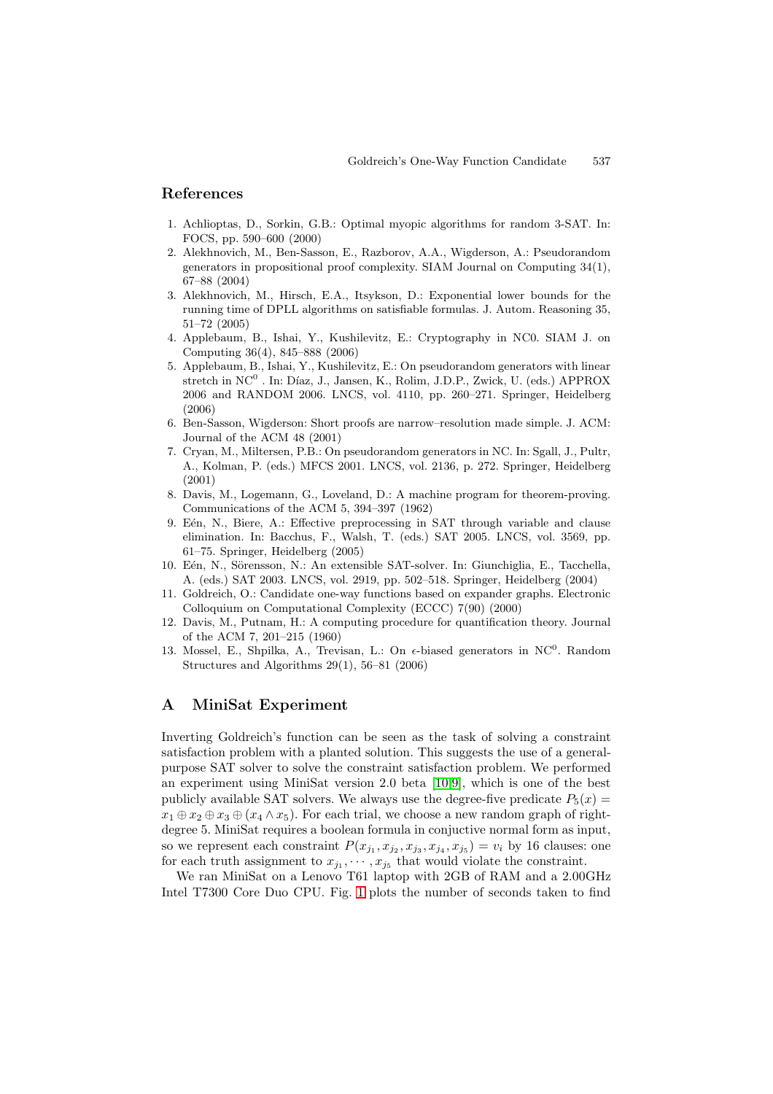# **References**

- 1. Achlioptas, D., Sorkin, G.B.: Optimal myopic algorithms for random 3-SAT. In: FOCS, pp. 590–600 (2000)
- <span id="page-16-7"></span>2. Alekhnovich, M., Ben-Sasson, E., Razborov, A.A., Wigderson, A.: Pseudorandom generators in propositional proof complexity. SIAM Journal on Computing 34(1), 67–88 (2004)
- <span id="page-16-11"></span>3. Alekhnovich, M., Hirsch, E.A., Itsykson, D.: Exponential lower bounds for the running time of DPLL algorithms on satisfiable formulas. J. Autom. Reasoning 35, 51–72 (2005)
- <span id="page-16-6"></span>4. Applebaum, B., Ishai, Y., Kushilevitz, E.: Cryptography in NC0. SIAM J. on Computing 36(4), 845–888 (2006)
- <span id="page-16-3"></span>5. Applebaum, B., Ishai, Y., Kushilevitz, E.: On pseudorandom generators with linear stretch in  $NC^0$  . In: Díaz, J., Jansen, K., Rolim, J.D.P., Zwick, U. (eds.) APPROX 2006 and RANDOM 2006. LNCS, vol. 4110, pp. 260–271. Springer, Heidelberg (2006)
- <span id="page-16-4"></span>6. Ben-Sasson, Wigderson: Short proofs are narrow–resolution made simple. J. ACM: Journal of the ACM 48 (2001)
- 7. Cryan, M., Miltersen, P.B.: On pseudorandom generators in NC. In: Sgall, J., Pultr, A., Kolman, P. (eds.) MFCS 2001. LNCS, vol. 2136, p. 272. Springer, Heidelberg (2001)
- <span id="page-16-10"></span><span id="page-16-1"></span>8. Davis, M., Logemann, G., Loveland, D.: A machine program for theorem-proving. Communications of the ACM 5, 394–397 (1962)
- 9. Eén, N., Biere, A.: Effective preprocessing in SAT through variable and clause elimination. In: Bacchus, F., Walsh, T. (eds.) SAT 2005. LNCS, vol. 3569, pp. 61–75. Springer, Heidelberg (2005)
- <span id="page-16-13"></span><span id="page-16-9"></span>10. Eén, N., Sörensson, N.: An extensible SAT-solver. In: Giunchiglia, E., Tacchella, A. (eds.) SAT 2003. LNCS, vol. 2919, pp. 502–518. Springer, Heidelberg (2004)
- 11. Goldreich, O.: Candidate one-way functions based on expander graphs. Electronic Colloquium on Computational Complexity (ECCC) 7(90) (2000)
- <span id="page-16-12"></span>12. Davis, M., Putnam, H.: A computing procedure for quantification theory. Journal of the ACM 7, 201–215 (1960)
- <span id="page-16-8"></span><span id="page-16-0"></span>13. Mossel, E., Shpilka, A., Trevisan, L.: On  $\epsilon$ -biased generators in NC<sup>0</sup>. Random Structures and Algorithms 29(1), 56–81 (2006)

# <span id="page-16-2"></span>**A MiniSat Experiment**

<span id="page-16-5"></span>Inverting Goldreich's function can be seen as the task of solving a constraint satisfaction problem with a planted solution. This suggests the use of a generalpurpose SAT solver to solve the constraint satisfaction problem. We performed an experiment using MiniSat version 2.0 beta [10,9], which is one of the best publicly available SAT solvers. We always use the degree-five predicate  $P_5(x)$  =  $x_1 \oplus x_2 \oplus x_3 \oplus (x_4 \wedge x_5)$ . For each trial, we choose a new random graph of rightdegree 5. MiniSat requires a boolean formula in conjuctive normal form as input, so we represent each constraint  $P(x_{j_1}, x_{j_2}, x_{j_3}, x_{j_4}, x_{j_5}) = v_i$  $P(x_{j_1}, x_{j_2}, x_{j_3}, x_{j_4}, x_{j_5}) = v_i$  $P(x_{j_1}, x_{j_2}, x_{j_3}, x_{j_4}, x_{j_5}) = v_i$  $P(x_{j_1}, x_{j_2}, x_{j_3}, x_{j_4}, x_{j_5}) = v_i$  $P(x_{j_1}, x_{j_2}, x_{j_3}, x_{j_4}, x_{j_5}) = v_i$  by 16 clauses: one for each truth assignment to  $x_{j_1}, \dots, x_{j_5}$  that would violate the constraint.

We ran MiniSat on a Lenovo T61 laptop with 2GB of RAM and a 2.00GHz Intel T7300 Core Duo CPU. Fig. 1 plots the number of seconds taken to find